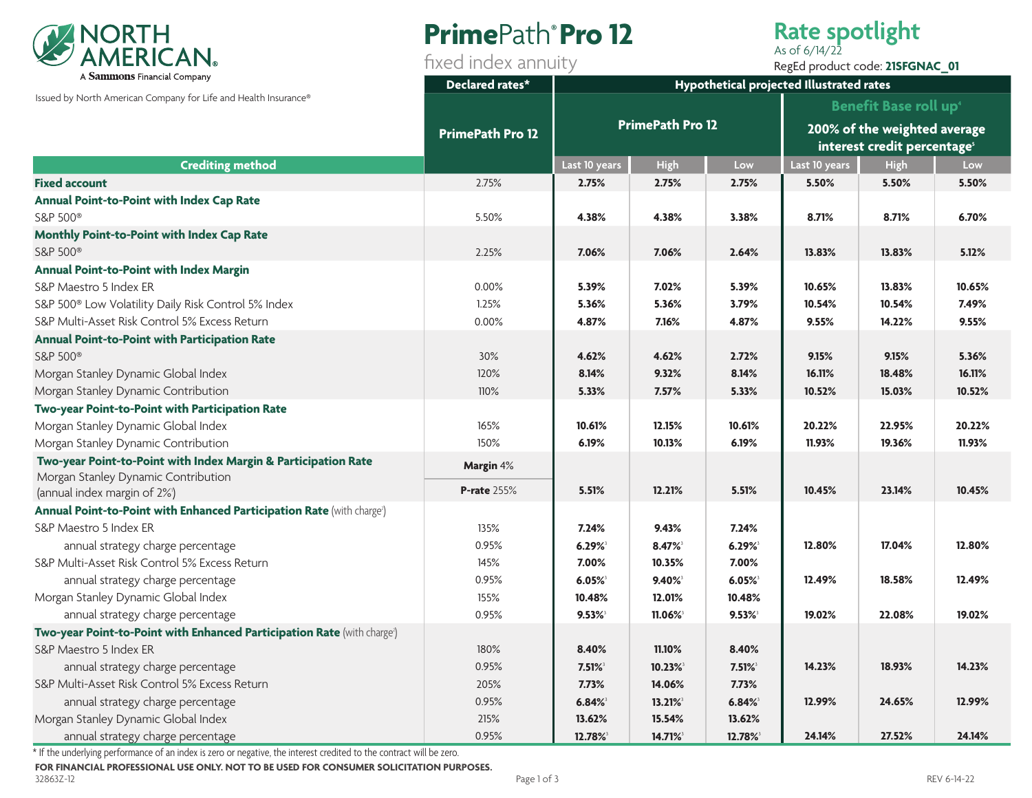

# **Prime**Path**® Pro 12**

fixed index annuity

## **Rate spotlight**

As of 6/14/22 RegEd product code: **21SFGNAC\_01**

|                                                                                      | Declared rates*         | Hypothetical projected Illustrated rates |                     |        |                                                                         |        |        |
|--------------------------------------------------------------------------------------|-------------------------|------------------------------------------|---------------------|--------|-------------------------------------------------------------------------|--------|--------|
| Issued by North American Company for Life and Health Insurance®                      | <b>PrimePath Pro 12</b> | <b>Benefit Base roll up</b> <sup>4</sup> |                     |        |                                                                         |        |        |
|                                                                                      |                         | <b>PrimePath Pro 12</b>                  |                     |        | 200% of the weighted average<br>interest credit percentage <sup>5</sup> |        |        |
|                                                                                      |                         |                                          |                     |        |                                                                         |        |        |
| <b>Fixed account</b>                                                                 | 2.75%                   | 2.75%                                    | 2.75%               | 2.75%  | 5.50%                                                                   | 5.50%  | 5.50%  |
| Annual Point-to-Point with Index Cap Rate                                            |                         |                                          |                     |        |                                                                         |        |        |
| S&P 500 <sup>®</sup>                                                                 | 5.50%                   | 4.38%                                    | 4.38%               | 3.38%  | 8.71%                                                                   | 8.71%  | 6.70%  |
| Monthly Point-to-Point with Index Cap Rate                                           |                         |                                          |                     |        |                                                                         |        |        |
| S&P 500 <sup>®</sup>                                                                 | 2.25%                   | 7.06%                                    | 7.06%               | 2.64%  | 13.83%                                                                  | 13.83% | 5.12%  |
| Annual Point-to-Point with Index Margin                                              |                         |                                          |                     |        |                                                                         |        |        |
| S&P Maestro 5 Index ER                                                               | 0.00%                   | 5.39%                                    | 7.02%               | 5.39%  | 10.65%                                                                  | 13.83% | 10.65% |
| S&P 500 <sup>®</sup> Low Volatility Daily Risk Control 5% Index                      | 1.25%                   | 5.36%                                    | 5.36%               | 3.79%  | 10.54%                                                                  | 10.54% | 7.49%  |
| S&P Multi-Asset Risk Control 5% Excess Return                                        | 0.00%                   | 4.87%                                    | 7.16%               | 4.87%  | 9.55%                                                                   | 14.22% | 9.55%  |
| <b>Annual Point-to-Point with Participation Rate</b>                                 |                         |                                          |                     |        |                                                                         |        |        |
| S&P 500 <sup>®</sup>                                                                 | 30%                     | 4.62%                                    | 4.62%               | 2.72%  | 9.15%                                                                   | 9.15%  | 5.36%  |
| Morgan Stanley Dynamic Global Index                                                  | 120%                    | 8.14%                                    | 9.32%               | 8.14%  | 16.11%                                                                  | 18.48% | 16.11% |
| Morgan Stanley Dynamic Contribution                                                  | 110%                    | 5.33%                                    | 7.57%               | 5.33%  | 10.52%                                                                  | 15.03% | 10.52% |
| Two-year Point-to-Point with Participation Rate                                      |                         |                                          |                     |        |                                                                         |        |        |
| Morgan Stanley Dynamic Global Index                                                  | 165%                    | 10.61%                                   | 12.15%              | 10.61% | 20.22%                                                                  | 22.95% | 20.22% |
| Morgan Stanley Dynamic Contribution                                                  | 150%                    | 6.19%                                    | 10.13%              | 6.19%  | 11.93%                                                                  | 19.36% | 11.93% |
| Two-year Point-to-Point with Index Margin & Participation Rate                       | Margin 4%               |                                          |                     |        |                                                                         |        |        |
| Morgan Stanley Dynamic Contribution                                                  |                         |                                          |                     |        |                                                                         |        |        |
| (annual index margin of 2%)                                                          | <b>P-rate 255%</b>      | 5.51%                                    | 12.21%              | 5.51%  | 10.45%                                                                  | 23.14% | 10.45% |
| Annual Point-to-Point with Enhanced Participation Rate (with charge <sup>2</sup> )   |                         |                                          |                     |        |                                                                         |        |        |
| S&P Maestro 5 Index ER                                                               | 135%                    | 7.24%                                    | 9.43%               | 7.24%  |                                                                         |        |        |
| annual strategy charge percentage                                                    | 0.95%                   | 6.29%                                    | 8.47%               | 6.29%  | 12.80%                                                                  | 17.04% | 12.80% |
| S&P Multi-Asset Risk Control 5% Excess Return                                        | 145%                    | 7.00%                                    | 10.35%              | 7.00%  |                                                                         |        |        |
| annual strategy charge percentage                                                    | 0.95%                   | 6.05%                                    | 9.40%               | 6.05%  | 12.49%                                                                  | 18.58% | 12.49% |
| Morgan Stanley Dynamic Global Index                                                  | 155%                    | 10.48%                                   | 12.01%              | 10.48% |                                                                         |        |        |
| annual strategy charge percentage                                                    | 0.95%                   | 9.53%                                    | 11.06%              | 9.53%  | 19.02%                                                                  | 22.08% | 19.02% |
| Two-year Point-to-Point with Enhanced Participation Rate (with charge <sup>2</sup> ) |                         |                                          |                     |        |                                                                         |        |        |
| S&P Maestro 5 Index ER                                                               | 180%                    | 8.40%                                    | 11.10%              | 8.40%  |                                                                         |        |        |
| annual strategy charge percentage                                                    | 0.95%                   | $7.51\%$                                 | $10.23\%$           | 7.51%  | 14.23%                                                                  | 18.93% | 14.23% |
| S&P Multi-Asset Risk Control 5% Excess Return                                        | 205%                    | 7.73%                                    | 14.06%              | 7.73%  |                                                                         |        |        |
| annual strategy charge percentage                                                    | 0.95%                   | 6.84%                                    | 13.21% <sup>3</sup> | 6.84%  | 12.99%                                                                  | 24.65% | 12.99% |
| Morgan Stanley Dynamic Global Index                                                  | 215%                    | 13.62%                                   | 15.54%              | 13.62% |                                                                         |        |        |
| annual strategy charge percentage                                                    | 0.95%                   | 12.78%                                   | 14.71% <sup>3</sup> | 12.78% | 24.14%                                                                  | 27.52% | 24.14% |

\* If the underlying performance of an index is zero or negative, the interest credited to the contract will be zero.

**FOR FINANCIAL PROFESSIONAL USE ONLY. NOT TO BE USED FOR CONSUMER SOLICITATION PURPOSES.**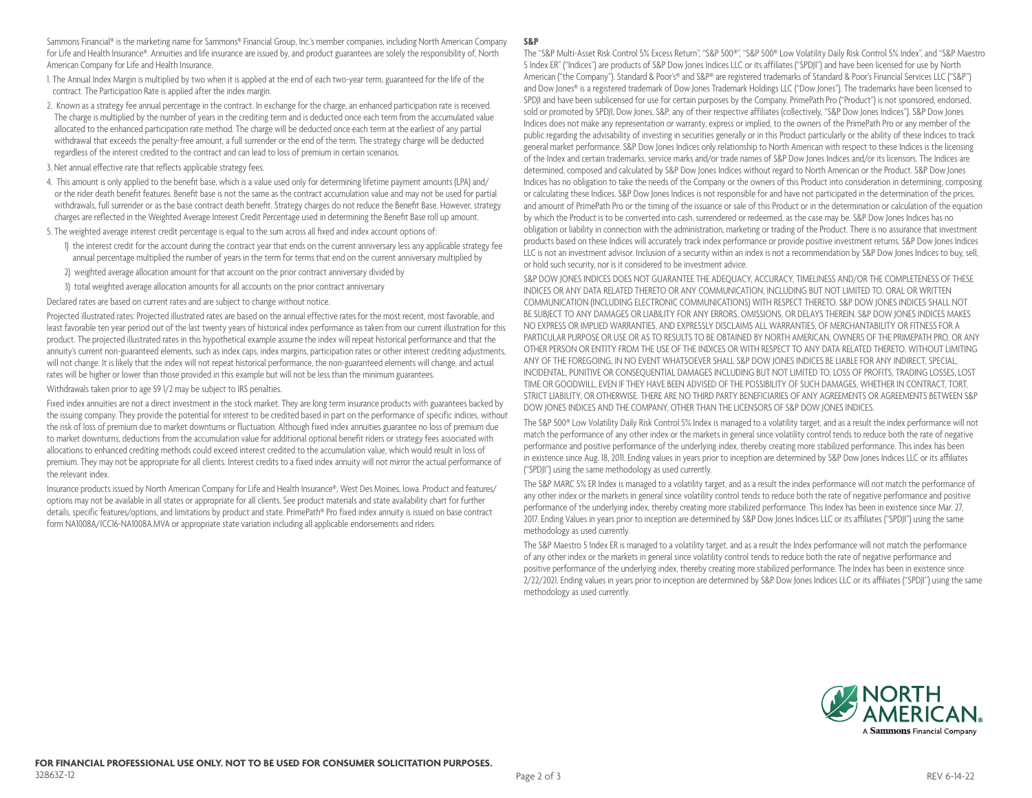Sammons Financial® is the marketing name for Sammons® Financial Group, Inc.'s member companies, including North American Company for Life and Health Insurance®. Annuities and life insurance are issued by, and product guarantees are solely the responsibility of, North American Company for Life and Health Insurance.

1. The Annual Index Margin is multiplied by two when it is applied at the end of each two-year term, guaranteed for the life of the contract. The Participation Rate is applied after the index margin.

- 2. Known as a strategy fee annual percentage in the contract. In exchange for the charge, an enhanced participation rate is received. The charge is multiplied by the number of years in the crediting term and is deducted once each term from the accumulated value allocated to the enhanced participation rate method. The charge will be deducted once each term at the earliest of any partial withdrawal that exceeds the penalty-free amount, a full surrender or the end of the term. The strategy charge will be deducted regardless of the interest credited to the contract and can lead to loss of premium in certain scenarios.
- 3. Net annual effective rate that reflects applicable strategy fees.
- 4. This amount is only applied to the benefit base, which is a value used only for determining lifetime payment amounts (LPA) and/ or the rider death benefit features. Benefit base is not the same as the contract accumulation value and may not be used for partial withdrawals, full surrender or as the base contract death benefit. Strategy charges do not reduce the Benefit Base. However, strategy charges are reflected in the Weighted Average Interest Credit Percentage used in determining the Benefit Base roll up amount.
- 5. The weighted average interest credit percentage is equal to the sum across all fixed and index account options of:
	- 1) the interest credit for the account during the contract year that ends on the current anniversary less any applicable strategy fee annual percentage multiplied the number of years in the term for terms that end on the current anniversary multiplied by
	- 2) weighted average allocation amount for that account on the prior contract anniversary divided by
	- 3) total weighted average allocation amounts for all accounts on the prior contract anniversary

Declared rates are based on current rates and are subject to change without notice.

Projected illustrated rates: Projected illustrated rates are based on the annual effective rates for the most recent, most favorable, and least favorable ten year period out of the last twenty years of historical index performance as taken from our current illustration for this product. The projected illustrated rates in this hypothetical example assume the index will repeat historical performance and that the annuity's current non-guaranteed elements, such as index caps, index margins, participation rates or other interest crediting adjustments, will not change. It is likely that the index will not repeat historical performance, the non-guaranteed elements will change, and actual rates will be higher or lower than those provided in this example but will not be less than the minimum guarantees.

Withdrawals taken prior to age 59 1/2 may be subject to IRS penalties.

Fixed index annuities are not a direct investment in the stock market. They are long term insurance products with guarantees backed by the issuing company. They provide the potential for interest to be credited based in part on the performance of specific indices, without the risk of loss of premium due to market downturns or fluctuation. Although fixed index annuities guarantee no loss of premium due to market downturns, deductions from the accumulation value for additional optional benefit riders or strategy fees associated with allocations to enhanced crediting methods could exceed interest credited to the accumulation value, which would result in loss of premium. They may not be appropriate for all clients. Interest credits to a fixed index annuity will not mirror the actual performance of the relevant index.

Insurance products issued by North American Company for Life and Health Insurance®, West Des Moines, Iowa. Product and features/ options may not be available in all states or appropriate for all clients. See product materials and state availability chart for further details, specific features/options, and limitations by product and state. PrimePath® Pro fixed index annuity is issued on base contract form NA1008A/ICC16-NA1008A.MVA or appropriate state variation including all applicable endorsements and riders.

#### **S&P**

The "S&P Multi-Asset Risk Control 5% Excess Return", "S&P 500®", "S&P 500® Low Volatility Daily Risk Control 5% Index", and "S&P Maestro 5 Index ER" ("Indices") are products of S&P Dow Jones Indices LLC or its affiliates ("SPDJI") and have been licensed for use by North American ("the Company"). Standard & Poor's® and S&P® are registered trademarks of Standard & Poor's Financial Services LLC ("S&P") and Dow Jones® is a registered trademark of Dow Jones Trademark Holdings LLC ("Dow Jones"). The trademarks have been licensed to SPDJI and have been sublicensed for use for certain purposes by the Company. PrimePath Pro ("Product") is not sponsored, endorsed, sold or promoted by SPDJI, Dow Jones, S&P, any of their respective affiliates (collectively, "S&P Dow Jones Indices"). S&P Dow Jones Indices does not make any representation or warranty, express or implied, to the owners of the PrimePath Pro or any member of the public regarding the advisability of investing in securities generally or in this Product particularly or the ability of these Indices to track general market performance. S&P Dow Jones Indices only relationship to North American with respect to these Indices is the licensing of the Index and certain trademarks, service marks and/or trade names of S&P Dow Jones Indices and/or its licensors. The Indices are determined, composed and calculated by S&P Dow Jones Indices without regard to North American or the Product. S&P Dow Jones Indices has no obligation to take the needs of the Company or the owners of this Product into consideration in determining, composing or calculating these Indices. S&P Dow Jones Indices is not responsible for and have not participated in the determination of the prices, and amount of PrimePath Pro or the timing of the issuance or sale of this Product or in the determination or calculation of the equation by which the Product is to be converted into cash, surrendered or redeemed, as the case may be. S&P Dow Jones Indices has no obligation or liability in connection with the administration, marketing or trading of the Product. There is no assurance that investment products based on these Indices will accurately track index performance or provide positive investment returns. S&P Dow Jones Indices LLC is not an investment advisor. Inclusion of a security within an index is not a recommendation by S&P Dow Jones Indices to buy, sell, or hold such security, nor is it considered to be investment advice.

S&P DOW JONES INDICES DOES NOT GUARANTEE THE ADEOUACY, ACCURACY, TIMELINESS AND/OR THE COMPLETENESS OF THESE INDICES OR ANY DATA RELATED THERETO OR ANY COMMUNICATION, INCLUDING BUT NOT LIMITED TO, ORAL OR WRITTEN COMMUNICATION (INCLUDING ELECTRONIC COMMUNICATIONS) WITH RESPECT THERETO. S&P DOW JONES INDICES SHALL NOT BE SUBJECT TO ANY DAMAGES OR LIABILITY FOR ANY ERRORS, OMISSIONS, OR DELAYS THEREIN. S&P DOW JONES INDICES MAKES NO EXPRESS OR IMPLIED WARRANTIES, AND EXPRESSLY DISCLAIMS ALL WARRANTIES, OF MERCHANTABILITY OR FITNESS FOR A PARTICULAR PURPOSE OR USE OR AS TO RESULTS TO BE OBTAINED BY NORTH AMERICAN, OWNERS OF THE PRIMEPATH PRO, OR ANY OTHER PERSON OR ENTITY FROM THE USE OF THE INDICES OR WITH RESPECT TO ANY DATA RELATED THERETO. WITHOUT LIMITING ANY OF THE FOREGOING, IN NO EVENT WHATSOEVER SHALL S&P DOW JONES INDICES BE LIABLE FOR ANY INDIRECT, SPECIAL, INCIDENTAL, PUNITIVE OR CONSEQUENTIAL DAMAGES INCLUDING BUT NOT LIMITED TO, LOSS OF PROFITS, TRADING LOSSES, LOST TIME OR GOODWILL, EVEN IF THEY HAVE BEEN ADVISED OF THE POSSIBILITY OF SUCH DAMAGES, WHETHER IN CONTRACT, TORT, STRICT LIABILITY, OR OTHERWISE. THERE ARE NO THIRD PARTY BENEFICIARIES OF ANY AGREEMENTS OR AGREEMENTS BETWEEN S&P DOW JONES INDICES AND THE COMPANY, OTHER THAN THE LICENSORS OF S&P DOW JONES INDICES.

The S&P 500® Low Volatility Daily Risk Control 5% Index is managed to a volatility target, and as a result the index performance will not match the performance of any other index or the markets in general since volatility control tends to reduce both the rate of negative performance and positive performance of the underlying index, thereby creating more stabilized performance. This index has been in existence since Aug. 18, 2011. Ending values in years prior to inception are determined by S&P Dow Jones Indices LLC or its affiliates ("SPDJI") using the same methodology as used currently.

The S&P MARC 5% ER Index is managed to a volatility target, and as a result the index performance will not match the performance of any other index or the markets in general since volatility control tends to reduce both the rate of negative performance and positive performance of the underlying index, thereby creating more stabilized performance. This Index has been in existence since Mar. 27, 2017. Ending Values in years prior to inception are determined by S&P Dow Jones Indices LLC or its affiliates ("SPDJI") using the same methodology as used currently.

The S&P Maestro 5 Index ER is managed to a volatility target, and as a result the Index performance will not match the performance of any other index or the markets in general since volatility control tends to reduce both the rate of negative performance and positive performance of the underlying index, thereby creating more stabilized performance. The Index has been in existence since 2/22/2021. Ending values in years prior to inception are determined by S&P Dow Jones Indices LLC or its affiliates ("SPDJI") using the same methodology as used currently.